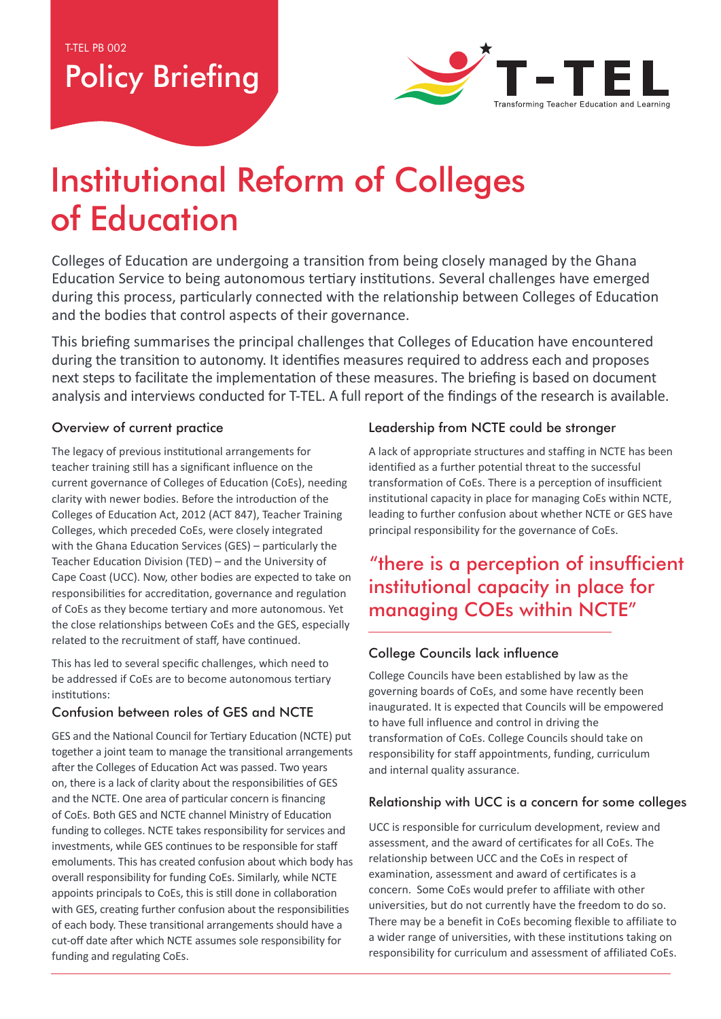# Policy Briefing



# Institutional Reform of Colleges of Education

Colleges of Education are undergoing a transition from being closely managed by the Ghana Education Service to being autonomous tertiary institutions. Several challenges have emerged during this process, particularly connected with the relationship between Colleges of Education and the bodies that control aspects of their governance.

This briefing summarises the principal challenges that Colleges of Education have encountered during the transition to autonomy. It identifies measures required to address each and proposes next steps to facilitate the implementation of these measures. The briefing is based on document analysis and interviews conducted for T-TEL. A full report of the findings of the research is available.

#### Overview of current practice

The legacy of previous institutional arrangements for teacher training still has a significant influence on the current governance of Colleges of Education (CoEs), needing clarity with newer bodies. Before the introduction of the Colleges of Education Act, 2012 (ACT 847), Teacher Training Colleges, which preceded CoEs, were closely integrated with the Ghana Education Services (GES) – particularly the Teacher Education Division (TED) – and the University of Cape Coast (UCC). Now, other bodies are expected to take on responsibilities for accreditation, governance and regulation of CoEs as they become tertiary and more autonomous. Yet the close relationships between CoEs and the GES, especially related to the recruitment of staff, have continued.

This has led to several specific challenges, which need to be addressed if CoEs are to become autonomous tertiary institutions:

## Confusion between roles of GES and NCTE

GES and the National Council for Tertiary Education (NCTE) put together a joint team to manage the transitional arrangements after the Colleges of Education Act was passed. Two years on, there is a lack of clarity about the responsibilities of GES and the NCTE. One area of particular concern is financing of CoEs. Both GES and NCTE channel Ministry of Education funding to colleges. NCTE takes responsibility for services and investments, while GES continues to be responsible for staff emoluments. This has created confusion about which body has overall responsibility for funding CoEs. Similarly, while NCTE appoints principals to CoEs, this is still done in collaboration with GES, creating further confusion about the responsibilities of each body. These transitional arrangements should have a cut-off date after which NCTE assumes sole responsibility for funding and regulating CoEs.

## Leadership from NCTE could be stronger

A lack of appropriate structures and staffing in NCTE has been identified as a further potential threat to the successful transformation of CoEs. There is a perception of insufficient institutional capacity in place for managing CoEs within NCTE, leading to further confusion about whether NCTE or GES have principal responsibility for the governance of CoEs.

# "there is a perception of insufficient institutional capacity in place for managing COEs within NCTE"

## College Councils lack influence

College Councils have been established by law as the governing boards of CoEs, and some have recently been inaugurated. It is expected that Councils will be empowered to have full influence and control in driving the transformation of CoEs. College Councils should take on responsibility for staff appointments, funding, curriculum and internal quality assurance.

#### Relationship with UCC is a concern for some colleges

UCC is responsible for curriculum development, review and assessment, and the award of certificates for all CoEs. The relationship between UCC and the CoEs in respect of examination, assessment and award of certificates is a concern. Some CoEs would prefer to affiliate with other universities, but do not currently have the freedom to do so. There may be a benefit in CoEs becoming flexible to affiliate to a wider range of universities, with these institutions taking on responsibility for curriculum and assessment of affiliated CoEs.